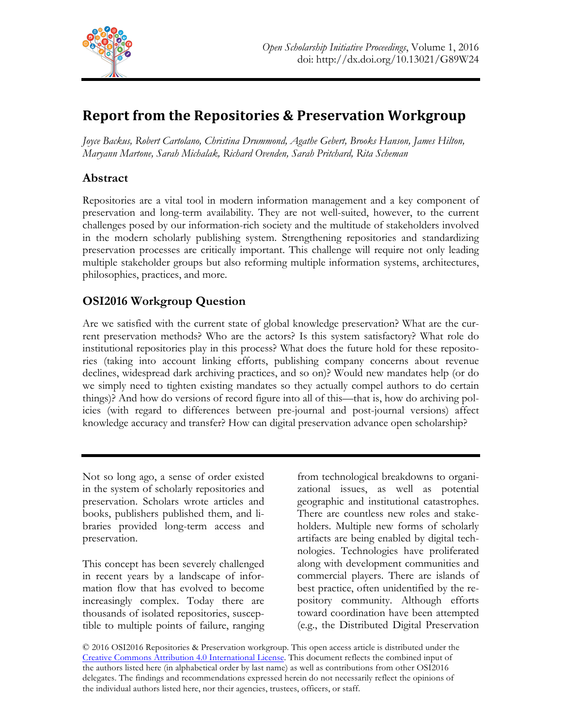

# **Report from the Repositories & Preservation Workgroup**

*Joyce Backus, Robert Cartolano, Christina Drummond, Agathe Gebert, Brooks Hanson, James Hilton, Maryann Martone, Sarah Michalak, Richard Ovenden, Sarah Pritchard, Rita Scheman*

## **Abstract**

Repositories are a vital tool in modern information management and a key component of preservation and long-term availability. They are not well-suited, however, to the current challenges posed by our information-rich society and the multitude of stakeholders involved in the modern scholarly publishing system. Strengthening repositories and standardizing preservation processes are critically important. This challenge will require not only leading multiple stakeholder groups but also reforming multiple information systems, architectures, philosophies, practices, and more.

## **OSI2016 Workgroup Question**

Are we satisfied with the current state of global knowledge preservation? What are the current preservation methods? Who are the actors? Is this system satisfactory? What role do institutional repositories play in this process? What does the future hold for these repositories (taking into account linking efforts, publishing company concerns about revenue declines, widespread dark archiving practices, and so on)? Would new mandates help (or do we simply need to tighten existing mandates so they actually compel authors to do certain things)? And how do versions of record figure into all of this—that is, how do archiving policies (with regard to differences between pre-journal and post-journal versions) affect knowledge accuracy and transfer? How can digital preservation advance open scholarship?

Not so long ago, a sense of order existed in the system of scholarly repositories and preservation. Scholars wrote articles and books, publishers published them, and libraries provided long-term access and preservation.

This concept has been severely challenged in recent years by a landscape of information flow that has evolved to become increasingly complex. Today there are thousands of isolated repositories, susceptible to multiple points of failure, ranging from technological breakdowns to organizational issues, as well as potential geographic and institutional catastrophes. There are countless new roles and stakeholders. Multiple new forms of scholarly artifacts are being enabled by digital technologies. Technologies have proliferated along with development communities and commercial players. There are islands of best practice, often unidentified by the repository community. Although efforts toward coordination have been attempted (e.g., the Distributed Digital Preservation

© 2016 OSI2016 Repositories & Preservation workgroup. This open access article is distributed under the Creative Commons Attribution 4.0 International License. This document reflects the combined input of the authors listed here (in alphabetical order by last name) as well as contributions from other OSI2016 delegates. The findings and recommendations expressed herein do not necessarily reflect the opinions of the individual authors listed here, nor their agencies, trustees, officers, or staff.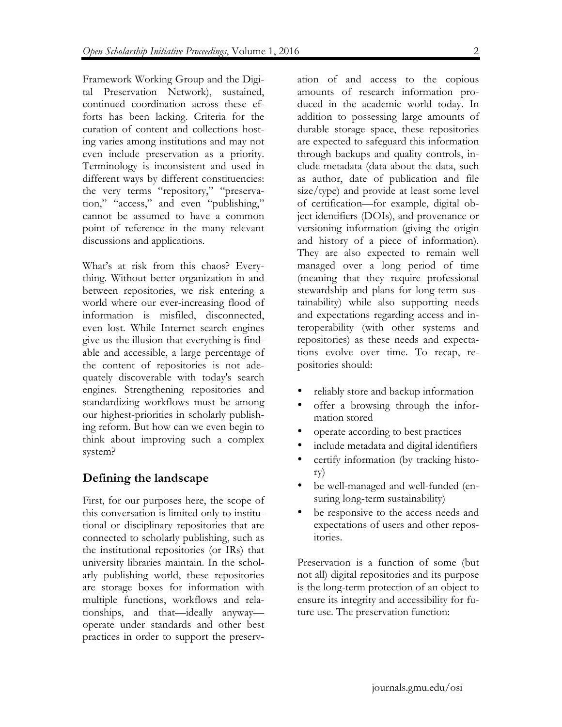Framework Working Group and the Digital Preservation Network), sustained, continued coordination across these efforts has been lacking. Criteria for the curation of content and collections hosting varies among institutions and may not even include preservation as a priority. Terminology is inconsistent and used in different ways by different constituencies: the very terms "repository," "preservation," "access," and even "publishing," cannot be assumed to have a common point of reference in the many relevant discussions and applications.

What's at risk from this chaos? Everything. Without better organization in and between repositories, we risk entering a world where our ever-increasing flood of information is misfiled, disconnected, even lost. While Internet search engines give us the illusion that everything is findable and accessible, a large percentage of the content of repositories is not adequately discoverable with today's search engines. Strengthening repositories and standardizing workflows must be among our highest-priorities in scholarly publishing reform. But how can we even begin to think about improving such a complex system?

### **Defining the landscape**

First, for our purposes here, the scope of this conversation is limited only to institutional or disciplinary repositories that are connected to scholarly publishing, such as the institutional repositories (or IRs) that university libraries maintain. In the scholarly publishing world, these repositories are storage boxes for information with multiple functions, workflows and relationships, and that—ideally anyway operate under standards and other best practices in order to support the preservation of and access to the copious amounts of research information produced in the academic world today. In addition to possessing large amounts of durable storage space, these repositories are expected to safeguard this information through backups and quality controls, include metadata (data about the data, such as author, date of publication and file size/type) and provide at least some level of certification—for example, digital object identifiers (DOIs), and provenance or versioning information (giving the origin and history of a piece of information). They are also expected to remain well managed over a long period of time (meaning that they require professional stewardship and plans for long-term sustainability) while also supporting needs and expectations regarding access and interoperability (with other systems and repositories) as these needs and expectations evolve over time. To recap, repositories should:

- reliably store and backup information
- offer a browsing through the information stored
- operate according to best practices
- include metadata and digital identifiers
- certify information (by tracking history)
- be well-managed and well-funded (ensuring long-term sustainability)
- be responsive to the access needs and expectations of users and other repositories.

Preservation is a function of some (but not all) digital repositories and its purpose is the long-term protection of an object to ensure its integrity and accessibility for future use. The preservation function: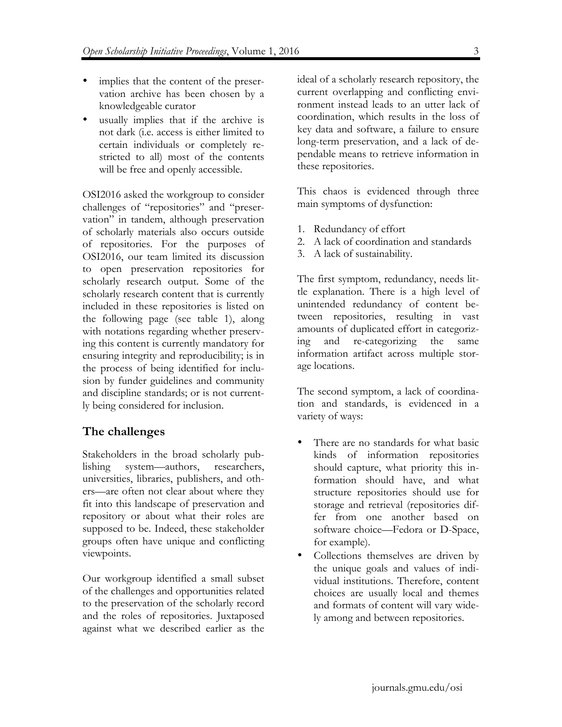- implies that the content of the preservation archive has been chosen by a knowledgeable curator
- usually implies that if the archive is not dark (i.e. access is either limited to certain individuals or completely restricted to all) most of the contents will be free and openly accessible.

OSI2016 asked the workgroup to consider challenges of "repositories" and "preservation" in tandem, although preservation of scholarly materials also occurs outside of repositories. For the purposes of OSI2016, our team limited its discussion to open preservation repositories for scholarly research output. Some of the scholarly research content that is currently included in these repositories is listed on the following page (see table 1), along with notations regarding whether preserving this content is currently mandatory for ensuring integrity and reproducibility; is in the process of being identified for inclusion by funder guidelines and community and discipline standards; or is not currently being considered for inclusion.

### **The challenges**

Stakeholders in the broad scholarly publishing system—authors, researchers, universities, libraries, publishers, and others—are often not clear about where they fit into this landscape of preservation and repository or about what their roles are supposed to be. Indeed, these stakeholder groups often have unique and conflicting viewpoints.

Our workgroup identified a small subset of the challenges and opportunities related to the preservation of the scholarly record and the roles of repositories. Juxtaposed against what we described earlier as the

ideal of a scholarly research repository, the current overlapping and conflicting environment instead leads to an utter lack of coordination, which results in the loss of key data and software, a failure to ensure long-term preservation, and a lack of dependable means to retrieve information in these repositories.

This chaos is evidenced through three main symptoms of dysfunction:

- 1. Redundancy of effort
- 2. A lack of coordination and standards
- 3. A lack of sustainability.

The first symptom, redundancy, needs little explanation. There is a high level of unintended redundancy of content between repositories, resulting in vast amounts of duplicated effort in categorizing and re-categorizing the same information artifact across multiple storage locations.

The second symptom, a lack of coordination and standards, is evidenced in a variety of ways:

- There are no standards for what basic kinds of information repositories should capture, what priority this information should have, and what structure repositories should use for storage and retrieval (repositories differ from one another based on software choice—Fedora or D-Space, for example).
- Collections themselves are driven by the unique goals and values of individual institutions. Therefore, content choices are usually local and themes and formats of content will vary widely among and between repositories.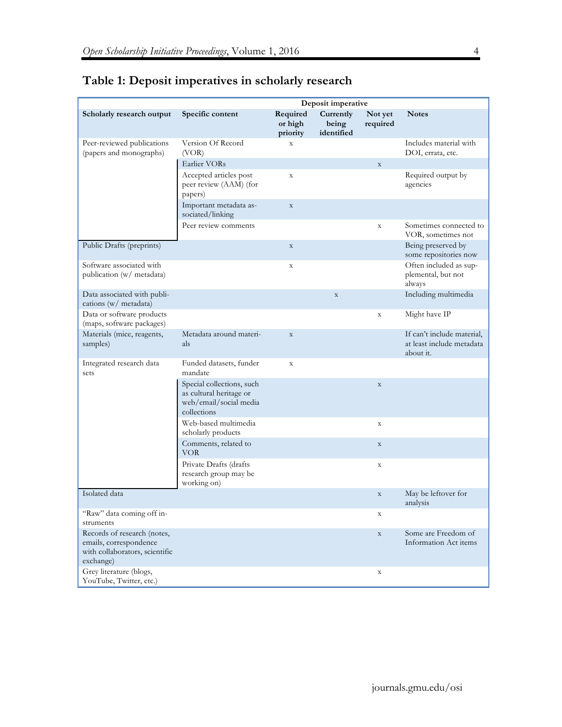|                                                                                                      | Deposit imperative                                                                            |                                 |                                  |                     |                                                                      |
|------------------------------------------------------------------------------------------------------|-----------------------------------------------------------------------------------------------|---------------------------------|----------------------------------|---------------------|----------------------------------------------------------------------|
| Scholarly research output                                                                            | Specific content                                                                              | Required<br>or high<br>priority | Currently<br>being<br>identified | Not yet<br>required | <b>Notes</b>                                                         |
| Peer-reviewed publications<br>(papers and monographs)                                                | Version Of Record<br>(VOR)                                                                    | $\mathbf X$                     |                                  |                     | Includes material with<br>DOI, errata, etc.                          |
|                                                                                                      | Earlier VORs                                                                                  |                                 |                                  | $\mathbf X$         |                                                                      |
|                                                                                                      | Accepted articles post<br>peer review (AAM) (for<br>papers)                                   | $\mathbf X$                     |                                  |                     | Required output by<br>agencies                                       |
|                                                                                                      | Important metadata as-<br>sociated/linking                                                    | $\mathbf X$                     |                                  |                     |                                                                      |
|                                                                                                      | Peer review comments                                                                          |                                 |                                  | $\mathbf X$         | Sometimes connected to<br>VOR, sometimes not                         |
| Public Drafts (preprints)                                                                            |                                                                                               | $\mathbf X$                     |                                  |                     | Being preserved by<br>some repositories now                          |
| Software associated with<br>publication (w/ metadata)                                                |                                                                                               | $\mathbf X$                     |                                  |                     | Often included as sup-<br>plemental, but not<br>always               |
| Data associated with publi-<br>cations (w/ metadata)                                                 |                                                                                               |                                 | $\mathbf X$                      |                     | Including multimedia                                                 |
| Data or software products<br>(maps, software packages)                                               |                                                                                               |                                 |                                  | $\mathbf X$         | Might have IP                                                        |
| Materials (mice, reagents,<br>samples)                                                               | Metadata around materi-<br>als                                                                | $\mathbf X$                     |                                  |                     | If can't include material,<br>at least include metadata<br>about it. |
| Integrated research data<br>sets                                                                     | Funded datasets, funder<br>mandate                                                            | $\mathbf X$                     |                                  |                     |                                                                      |
|                                                                                                      | Special collections, such<br>as cultural heritage or<br>web/email/social media<br>collections |                                 |                                  | $\mathbf X$         |                                                                      |
|                                                                                                      | Web-based multimedia<br>scholarly products                                                    |                                 |                                  | $\mathbf X$         |                                                                      |
|                                                                                                      | Comments, related to<br><b>VOR</b>                                                            |                                 |                                  | $\mathbf X$         |                                                                      |
|                                                                                                      | Private Drafts (drafts<br>research group may be<br>working on)                                |                                 |                                  | $\mathbf X$         |                                                                      |
| Isolated data                                                                                        |                                                                                               |                                 |                                  | $\mathbf X$         | May be leftover for<br>analysis                                      |
| "Raw" data coming off in-<br>struments                                                               |                                                                                               |                                 |                                  | $\mathbf X$         |                                                                      |
| Records of research (notes,<br>emails, correspondence<br>with collaborators, scientific<br>exchange) |                                                                                               |                                 |                                  | $\mathbf X$         | Some are Freedom of<br>Information Act items                         |
| Grey literature (blogs,<br>YouTube, Twitter, etc.)                                                   |                                                                                               |                                 |                                  | $\mathbf X$         |                                                                      |

## **Table 1: Deposit imperatives in scholarly research**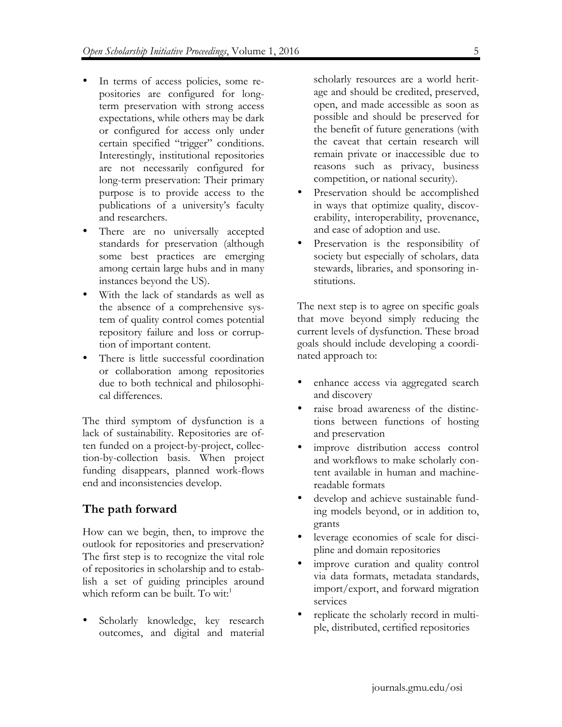- In terms of access policies, some repositories are configured for longterm preservation with strong access expectations, while others may be dark or configured for access only under certain specified "trigger" conditions. Interestingly, institutional repositories are not necessarily configured for long-term preservation: Their primary purpose is to provide access to the publications of a university's faculty and researchers.
- There are no universally accepted standards for preservation (although some best practices are emerging among certain large hubs and in many instances beyond the US).
- With the lack of standards as well as the absence of a comprehensive system of quality control comes potential repository failure and loss or corruption of important content.
- There is little successful coordination or collaboration among repositories due to both technical and philosophical differences.

The third symptom of dysfunction is a lack of sustainability. Repositories are often funded on a project-by-project, collection-by-collection basis. When project funding disappears, planned work-flows end and inconsistencies develop.

## **The path forward**

How can we begin, then, to improve the outlook for repositories and preservation? The first step is to recognize the vital role of repositories in scholarship and to establish a set of guiding principles around which reform can be built. To wit:<sup>1</sup>

Scholarly knowledge, key research outcomes, and digital and material

scholarly resources are a world heritage and should be credited, preserved, open, and made accessible as soon as possible and should be preserved for the benefit of future generations (with the caveat that certain research will remain private or inaccessible due to reasons such as privacy, business competition, or national security).

- Preservation should be accomplished in ways that optimize quality, discoverability, interoperability, provenance, and ease of adoption and use.
- Preservation is the responsibility of society but especially of scholars, data stewards, libraries, and sponsoring institutions.

The next step is to agree on specific goals that move beyond simply reducing the current levels of dysfunction. These broad goals should include developing a coordinated approach to:

- enhance access via aggregated search and discovery
- raise broad awareness of the distinctions between functions of hosting and preservation
- improve distribution access control and workflows to make scholarly content available in human and machinereadable formats
- develop and achieve sustainable funding models beyond, or in addition to, grants
- leverage economies of scale for discipline and domain repositories
- improve curation and quality control via data formats, metadata standards, import/export, and forward migration services
- replicate the scholarly record in multiple, distributed, certified repositories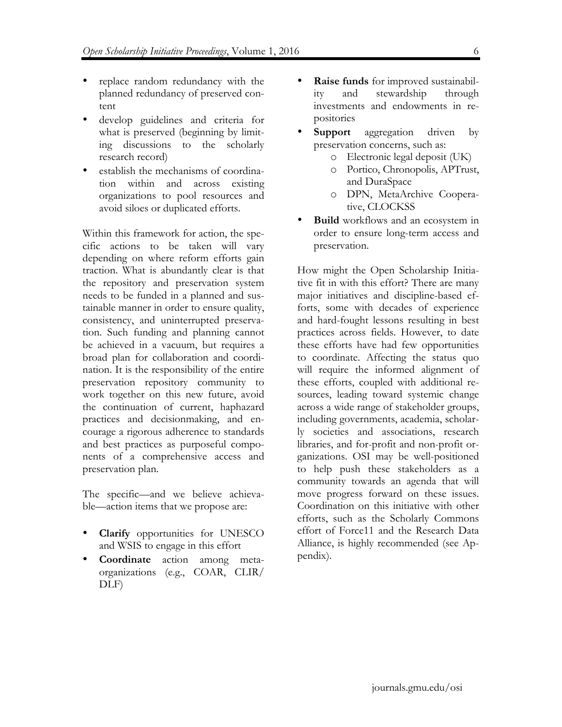- replace random redundancy with the planned redundancy of preserved content
- develop guidelines and criteria for what is preserved (beginning by limiting discussions to the scholarly research record)
- establish the mechanisms of coordination within and across existing organizations to pool resources and avoid siloes or duplicated efforts.

Within this framework for action, the specific actions to be taken will vary depending on where reform efforts gain traction. What is abundantly clear is that the repository and preservation system needs to be funded in a planned and sustainable manner in order to ensure quality, consistency, and uninterrupted preservation. Such funding and planning cannot be achieved in a vacuum, but requires a broad plan for collaboration and coordination. It is the responsibility of the entire preservation repository community to work together on this new future, avoid the continuation of current, haphazard practices and decisionmaking, and encourage a rigorous adherence to standards and best practices as purposeful components of a comprehensive access and preservation plan.

The specific—and we believe achievable—action items that we propose are:

- **Clarify** opportunities for UNESCO and WSIS to engage in this effort
- **Coordinate** action among metaorganizations (e.g., COAR, CLIR/ DLF)
- **Raise funds** for improved sustainability and stewardship through investments and endowments in repositories
- **Support** aggregation driven by preservation concerns, such as:
	- o Electronic legal deposit (UK)
	- o Portico, Chronopolis, APTrust, and DuraSpace
	- o DPN, MetaArchive Cooperative, CLOCKSS
- **Build** workflows and an ecosystem in order to ensure long-term access and preservation.

How might the Open Scholarship Initiative fit in with this effort? There are many major initiatives and discipline-based efforts, some with decades of experience and hard-fought lessons resulting in best practices across fields. However, to date these efforts have had few opportunities to coordinate. Affecting the status quo will require the informed alignment of these efforts, coupled with additional resources, leading toward systemic change across a wide range of stakeholder groups, including governments, academia, scholarly societies and associations, research libraries, and for-profit and non-profit organizations. OSI may be well-positioned to help push these stakeholders as a community towards an agenda that will move progress forward on these issues. Coordination on this initiative with other efforts, such as the Scholarly Commons effort of Force11 and the Research Data Alliance, is highly recommended (see Appendix).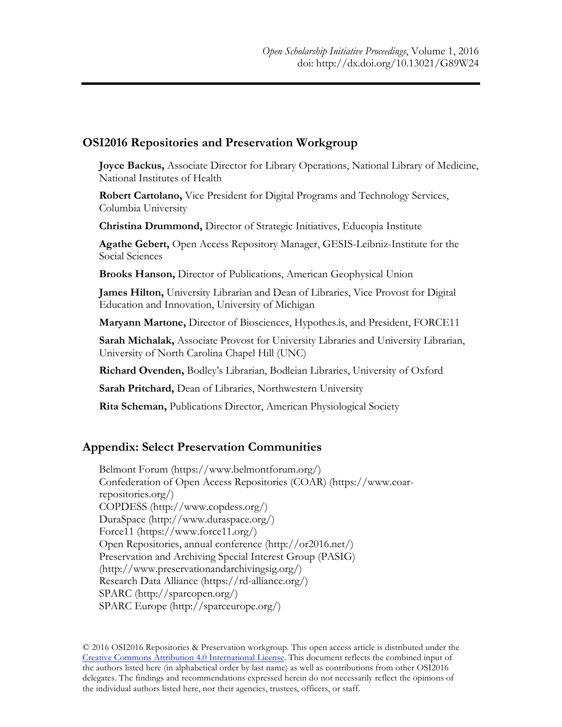#### **OSI2016 Repositories and Preservation Workgroup**

**Joyce Backus,** Associate Director for Library Operations, National Library of Medicine, National Institutes of Health

**Robert Cartolano,** Vice President for Digital Programs and Technology Services, Columbia University

**Christina Drummond,** Director of Strategic Initiatives, Educopia Institute

**Agathe Gebert,** Open Access Repository Manager, GESIS-Leibniz-Institute for the Social Sciences

**Brooks Hanson,** Director of Publications, American Geophysical Union

**James Hilton,** University Librarian and Dean of Libraries, Vice Provost for Digital Education and Innovation, University of Michigan

**Maryann Martone,** Director of Biosciences, Hypothes.is, and President, FORCE11

**Sarah Michalak,** Associate Provost for University Libraries and University Librarian, University of North Carolina Chapel Hill (UNC)

**Richard Ovenden,** Bodley's Librarian, Bodleian Libraries, University of Oxford

**Sarah Pritchard,** Dean of Libraries, Northwestern University

**Rita Scheman,** Publications Director, American Physiological Society

#### **Appendix: Select Preservation Communities**

Belmont Forum (https://www.belmontforum.org/) Confederation of Open Access Repositories (COAR) (https://www.coarrepositories.org/) COPDESS (http://www.copdess.org/) DuraSpace (http://www.duraspace.org/) Force11 (https://www.force11.org/) Open Repositories, annual conference (http://or2016.net/) Preservation and Archiving Special Interest Group (PASIG) (http://www.preservationandarchivingsig.org/) Research Data Alliance (https://rd-alliance.org/) SPARC (http://sparcopen.org/) SPARC Europe (http://sparceurope.org/)

© 2016 OSI2016 Repositories & Preservation workgroup. This open access article is distributed under the Creative Commons Attribution 4.0 International License. This document reflects the combined input of the authors listed here (in alphabetical order by last name) as well as contributions from other OSI2016 delegates. The findings and recommendations expressed herein do not necessarily reflect the opinions of the individual authors listed here, nor their agencies, trustees, officers, or staff.